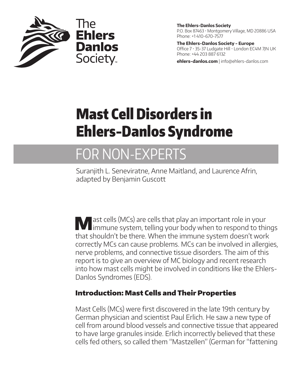

**The Ehlers-Danlos Society** P.O. Box 87463 • Montgomery Village, MD 20886 USA Phone: +1 410-670-7577

**The Ehlers-Danlos Society - Europe** Office 7 • 35-37 Ludgate Hill • London EC4M 7JN UK Phone: +44 203 887 6132

**ehlers-danlos.com** | info@ehlers-danlos.com

# Mast Cell Disorders in Ehlers-Danlos Syndrome

# FOR NON-EXPERTS

Suranjith L. Seneviratne, Anne Maitland, and Laurence Afrin, adapted by Benjamin Guscott

Mast cells (MCs) are cells that play an important role in your immune system, telling your body when to respond to things that shouldn't be there. When the immune system doesn't work correctly MCs can cause problems. MCs can be involved in allergies, nerve problems, and connective tissue disorders. The aim of this report is to give an overview of MC biology and recent research into how mast cells might be involved in conditions like the Ehlers-Danlos Syndromes (EDS).

# Introduction: Mast Cells and Their Properties

Mast Cells (MCs) were first discovered in the late 19th century by German physician and scientist Paul Erlich. He saw a new type of cell from around blood vessels and connective tissue that appeared to have large granules inside. Erlich incorrectly believed that these cells fed others, so called them "Mastzellen" (German for "fattening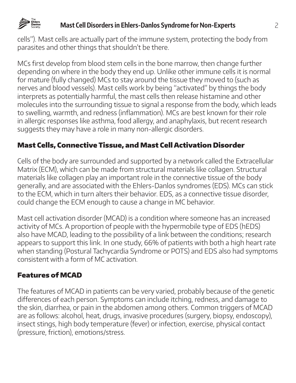

### **Mast Cell Disorders in Ehlers-Danlos Syndrome for Non-Experts** 2

cells"). Mast cells are actually part of the immune system, protecting the body from parasites and other things that shouldn't be there.

MCs first develop from blood stem cells in the bone marrow, then change further depending on where in the body they end up. Unlike other immune cells it is normal for mature (fully changed) MCs to stay around the tissue they moved to (such as nerves and blood vessels). Mast cells work by being "activated" by things the body interprets as potentially harmful, the mast cells then release histamine and other molecules into the surrounding tissue to signal a response from the body, which leads to swelling, warmth, and redness (inflammation). MCs are best known for their role in allergic responses like asthma, food allergy, and anaphylaxis, but recent research suggests they may have a role in many non-allergic disorders.

# Mast Cells, Connective Tissue, and Mast Cell Activation Disorder

Cells of the body are surrounded and supported by a network called the Extracellular Matrix (ECM), which can be made from structural materials like collagen. Structural materials like collagen play an important role in the connective tissue of the body generally, and are associated with the Ehlers-Danlos syndromes (EDS). MCs can stick to the ECM, which in turn alters their behavior. EDS, as a connective tissue disorder, could change the ECM enough to cause a change in MC behavior.

Mast cell activation disorder (MCAD) is a condition where someone has an increased activity of MCs. A proportion of people with the hypermobile type of EDS (hEDS) also have MCAD, leading to the possibility of a link between the conditions; research appears to support this link. In one study, 66% of patients with both a high heart rate when standing (Postural Tachycardia Syndrome or POTS) and EDS also had symptoms consistent with a form of MC activation.

# Features of MCAD

The features of MCAD in patients can be very varied, probably because of the genetic differences of each person. Symptoms can include itching, redness, and damage to the skin, diarrhea, or pain in the abdomen among others. Common triggers of MCAD are as follows: alcohol, heat, drugs, invasive procedures (surgery, biopsy, endoscopy), insect stings, high body temperature (fever) or infection, exercise, physical contact (pressure, friction), emotions/stress.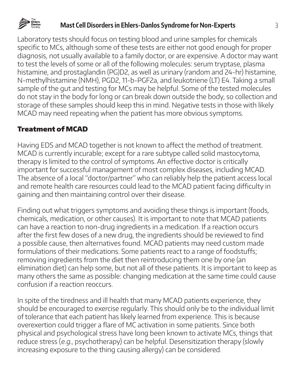

#### **Mast Cell Disorders in Ehlers-Danlos Syndrome for Non-Experts** 3

Laboratory tests should focus on testing blood and urine samples for chemicals specific to MCs, although some of these tests are either not good enough for proper diagnosis, not usually available to a family doctor, or are expensive. A doctor may want to test the levels of some or all of the following molecules: serum tryptase, plasma histamine, and prostaglandin (PG)D2, as well as urinary (random and 24-hr) histamine, N-methylhistamine (NMH), PGD2, 11-b-PGF2a, and leukotriene (LT) E4. Taking a small sample of the gut and testing for MCs may be helpful. Some of the tested molecules do not stay in the body for long or can break down outside the body, so collection and storage of these samples should keep this in mind. Negative tests in those with likely MCAD may need repeating when the patient has more obvious symptoms.

#### Treatment of MCAD

Having EDS and MCAD together is not known to affect the method of treatment. MCAD is currently incurable; except for a rare subtype called solid mastocytoma, therapy is limited to the control of symptoms. An effective doctor is critically important for successful management of most complex diseases, including MCAD. The absence of a local "doctor/partner" who can reliably help the patient access local and remote health care resources could lead to the MCAD patient facing difficulty in gaining and then maintaining control over their disease.

Finding out what triggers symptoms and avoiding these things is important (foods, chemicals, medication, or other causes). It is important to note that MCAD patients can have a reaction to non-drug ingredients in a medication. If a reaction occurs after the first few doses of a new drug, the ingredients should be reviewed to find a possible cause, then alternatives found. MCAD patients may need custom made formulations of their medications. Some patients react to a range of foodstuffs; removing ingredients from the diet then reintroducing them one by one (an elimination diet) can help some, but not all of these patients. It is important to keep as many others the same as possible: changing medication at the same time could cause confusion if a reaction reoccurs.

In spite of the tiredness and ill health that many MCAD patients experience, they should be encouraged to exercise regularly. This should only be to the individual limit of tolerance that each patient has likely learned from experience. This is because overexertion could trigger a flare of MC activation in some patients. Since both physical and psychological stress have long been known to activate MCs, things that reduce stress (e.g., psychotherapy) can be helpful. Desensitization therapy (slowly increasing exposure to the thing causing allergy) can be considered.